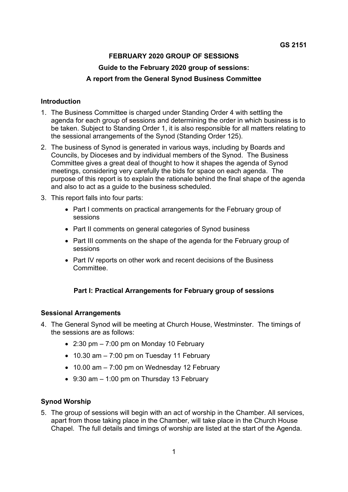# **FEBRUARY 2020 GROUP OF SESSIONS Guide to the February 2020 group of sessions: A report from the General Synod Business Committee**

### **Introduction**

- 1. The Business Committee is charged under Standing Order 4 with settling the agenda for each group of sessions and determining the order in which business is to be taken. Subject to Standing Order 1, it is also responsible for all matters relating to the sessional arrangements of the Synod (Standing Order 125).
- 2. The business of Synod is generated in various ways, including by Boards and Councils, by Dioceses and by individual members of the Synod. The Business Committee gives a great deal of thought to how it shapes the agenda of Synod meetings, considering very carefully the bids for space on each agenda. The purpose of this report is to explain the rationale behind the final shape of the agenda and also to act as a guide to the business scheduled.
- 3. This report falls into four parts:
	- Part I comments on practical arrangements for the February group of sessions
	- Part II comments on general categories of Synod business
	- Part III comments on the shape of the agenda for the February group of sessions
	- Part IV reports on other work and recent decisions of the Business **Committee.**

## **Part I: Practical Arrangements for February group of sessions**

## **Sessional Arrangements**

- 4. The General Synod will be meeting at Church House, Westminster. The timings of the sessions are as follows:
	- $\bullet$  2:30 pm  $-7:00$  pm on Monday 10 February
	- $\bullet$  10.30 am  $-$  7:00 pm on Tuesday 11 February
	- 10.00 am 7:00 pm on Wednesday 12 February
	- 9:30 am 1:00 pm on Thursday 13 February

## **Synod Worship**

5. The group of sessions will begin with an act of worship in the Chamber. All services, apart from those taking place in the Chamber, will take place in the Church House Chapel. The full details and timings of worship are listed at the start of the Agenda.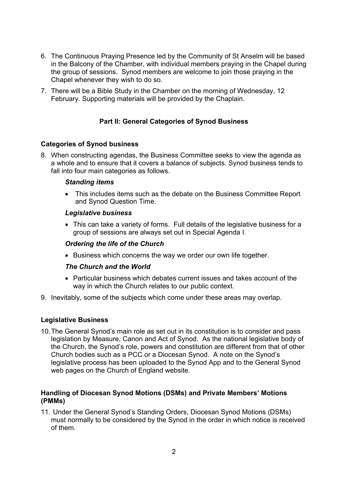- 6. The Continuous Praying Presence led by the Community of St Anselm will be based in the Balcony of the Chamber, with individual members praying in the Chapel during the group of sessions. Synod members are welcome to join those praying in the Chapel whenever they wish to do so.
- 7. There will be a Bible Study in the Chamber on the morning of Wednesday, 12 February. Supporting materials will be provided by the Chaplain.

## **Part II: General Categories of Synod Business**

### **Categories of Synod business**

8. When constructing agendas, the Business Committee seeks to view the agenda as a whole and to ensure that it covers a balance of subjects. Synod business tends to fall into four main categories as follows.

#### *Standing items*

 This includes items such as the debate on the Business Committee Report and Synod Question Time.

### *Legislative business*

 This can take a variety of forms. Full details of the legislative business for a group of sessions are always set out in Special Agenda I.

### *Ordering the life of the Church*

• Business which concerns the way we order our own life together.

## *The Church and the World*

- Particular business which debates current issues and takes account of the way in which the Church relates to our public context.
- 9. Inevitably, some of the subjects which come under these areas may overlap.

## **Legislative Business**

10. The General Synod's main role as set out in its constitution is to consider and pass legislation by Measure, Canon and Act of Synod. As the national legislative body of the Church, the Synod's role, powers and constitution are different from that of other Church bodies such as a PCC or a Diocesan Synod. A note on the Synod's legislative process has been uploaded to the Synod App and to the General Synod web pages on the Church of England website.

### **Handling of Diocesan Synod Motions (DSMs) and Private Members' Motions (PMMs)**

11. Under the General Synod's Standing Orders, Diocesan Synod Motions (DSMs) must normally to be considered by the Synod in the order in which notice is received of them.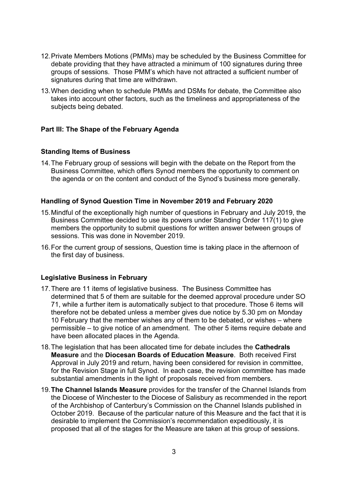- 12. Private Members Motions (PMMs) may be scheduled by the Business Committee for debate providing that they have attracted a minimum of 100 signatures during three groups of sessions. Those PMM's which have not attracted a sufficient number of signatures during that time are withdrawn.
- 13. When deciding when to schedule PMMs and DSMs for debate, the Committee also takes into account other factors, such as the timeliness and appropriateness of the subjects being debated.

### **Part III: The Shape of the February Agenda**

#### **Standing Items of Business**

14. The February group of sessions will begin with the debate on the Report from the Business Committee, which offers Synod members the opportunity to comment on the agenda or on the content and conduct of the Synod's business more generally.

### **Handling of Synod Question Time in November 2019 and February 2020**

- 15. Mindful of the exceptionally high number of questions in February and July 2019, the Business Committee decided to use its powers under Standing Order 117(1) to give members the opportunity to submit questions for written answer between groups of sessions. This was done in November 2019.
- 16. For the current group of sessions, Question time is taking place in the afternoon of the first day of business.

#### **Legislative Business in February**

- 17. There are 11 items of legislative business. The Business Committee has determined that 5 of them are suitable for the deemed approval procedure under SO 71, while a further item is automatically subject to that procedure. Those 6 items will therefore not be debated unless a member gives due notice by 5.30 pm on Monday 10 February that the member wishes any of them to be debated, or wishes – where permissible – to give notice of an amendment. The other 5 items require debate and have been allocated places in the Agenda.
- 18. The legislation that has been allocated time for debate includes the **Cathedrals Measure** and the **Diocesan Boards of Education Measure**. Both received First Approval in July 2019 and return, having been considered for revision in committee, for the Revision Stage in full Synod. In each case, the revision committee has made substantial amendments in the light of proposals received from members.
- 19. **The Channel Islands Measure** provides for the transfer of the Channel Islands from the Diocese of Winchester to the Diocese of Salisbury as recommended in the report of the Archbishop of Canterbury's Commission on the Channel Islands published in October 2019. Because of the particular nature of this Measure and the fact that it is desirable to implement the Commission's recommendation expeditiously, it is proposed that all of the stages for the Measure are taken at this group of sessions.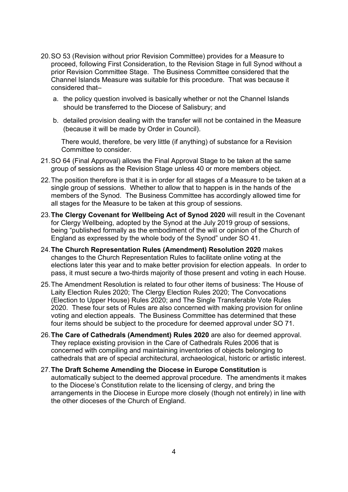- 20. SO 53 (Revision without prior Revision Committee) provides for a Measure to proceed, following First Consideration, to the Revision Stage in full Synod without a prior Revision Committee Stage. The Business Committee considered that the Channel Islands Measure was suitable for this procedure. That was because it considered that–
	- a. the policy question involved is basically whether or not the Channel Islands should be transferred to the Diocese of Salisbury; and
	- b. detailed provision dealing with the transfer will not be contained in the Measure (because it will be made by Order in Council).

There would, therefore, be very little (if anything) of substance for a Revision Committee to consider.

- 21. SO 64 (Final Approval) allows the Final Approval Stage to be taken at the same group of sessions as the Revision Stage unless 40 or more members object.
- 22. The position therefore is that it is in order for all stages of a Measure to be taken at a single group of sessions. Whether to allow that to happen is in the hands of the members of the Synod. The Business Committee has accordingly allowed time for all stages for the Measure to be taken at this group of sessions.
- 23. **The Clergy Covenant for Wellbeing Act of Synod 2020** will result in the Covenant for Clergy Wellbeing, adopted by the Synod at the July 2019 group of sessions, being "published formally as the embodiment of the will or opinion of the Church of England as expressed by the whole body of the Synod" under SO 41.
- 24. **The Church Representation Rules (Amendment) Resolution 2020** makes changes to the Church Representation Rules to facilitate online voting at the elections later this year and to make better provision for election appeals. In order to pass, it must secure a two-thirds majority of those present and voting in each House.
- 25. The Amendment Resolution is related to four other items of business: The House of Laity Election Rules 2020; The Clergy Election Rules 2020; The Convocations (Election to Upper House) Rules 2020; and The Single Transferable Vote Rules 2020. These four sets of Rules are also concerned with making provision for online voting and election appeals. The Business Committee has determined that these four items should be subject to the procedure for deemed approval under SO 71.
- 26. **The Care of Cathedrals (Amendment) Rules 2020** are also for deemed approval. They replace existing provision in the Care of Cathedrals Rules 2006 that is concerned with compiling and maintaining inventories of objects belonging to cathedrals that are of special architectural, archaeological, historic or artistic interest.
- 27. **The Draft Scheme Amending the Diocese in Europe Constitution** is automatically subject to the deemed approval procedure. The amendments it makes to the Diocese's Constitution relate to the licensing of clergy, and bring the arrangements in the Diocese in Europe more closely (though not entirely) in line with the other dioceses of the Church of England.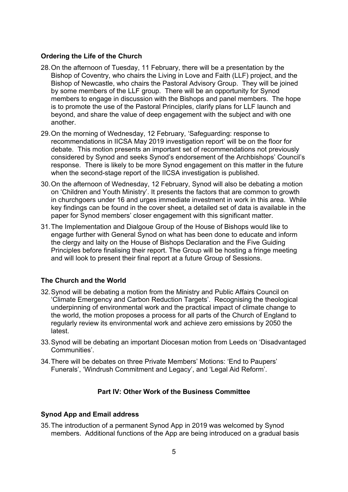### **Ordering the Life of the Church**

- 28. On the afternoon of Tuesday, 11 February, there will be a presentation by the Bishop of Coventry, who chairs the Living in Love and Faith (LLF) project, and the Bishop of Newcastle, who chairs the Pastoral Advisory Group. They will be joined by some members of the LLF group. There will be an opportunity for Synod members to engage in discussion with the Bishops and panel members. The hope is to promote the use of the Pastoral Principles, clarify plans for LLF launch and beyond, and share the value of deep engagement with the subject and with one another.
- 29. On the morning of Wednesday, 12 February, 'Safeguarding: response to recommendations in IICSA May 2019 investigation report' will be on the floor for debate. This motion presents an important set of recommendations not previously considered by Synod and seeks Synod's endorsement of the Archbishops' Council's response. There is likely to be more Synod engagement on this matter in the future when the second-stage report of the IICSA investigation is published.
- 30. On the afternoon of Wednesday, 12 February, Synod will also be debating a motion on 'Children and Youth Ministry'. It presents the factors that are common to growth in churchgoers under 16 and urges immediate investment in work in this area. While key findings can be found in the cover sheet, a detailed set of data is available in the paper for Synod members' closer engagement with this significant matter.
- 31. The Implementation and Dialgoue Group of the House of Bishops would like to engage further with General Synod on what has been done to educate and inform the clergy and laity on the House of Bishops Declaration and the Five Guiding Principles before finalising their report. The Group will be hosting a fringe meeting and will look to present their final report at a future Group of Sessions.

## **The Church and the World**

- 32. Synod will be debating a motion from the Ministry and Public Affairs Council on 'Climate Emergency and Carbon Reduction Targets'. Recognising the theological underpinning of environmental work and the practical impact of climate change to the world, the motion proposes a process for all parts of the Church of England to regularly review its environmental work and achieve zero emissions by 2050 the latest.
- 33. Synod will be debating an important Diocesan motion from Leeds on 'Disadvantaged Communities'.
- 34. There will be debates on three Private Members' Motions: 'End to Paupers' Funerals', 'Windrush Commitment and Legacy', and 'Legal Aid Reform'.

## **Part IV: Other Work of the Business Committee**

#### **Synod App and Email address**

35. The introduction of a permanent Synod App in 2019 was welcomed by Synod members. Additional functions of the App are being introduced on a gradual basis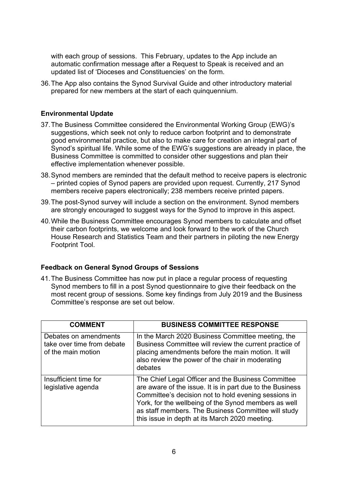with each group of sessions. This February, updates to the App include an automatic confirmation message after a Request to Speak is received and an updated list of 'Dioceses and Constituencies' on the form.

36. The App also contains the Synod Survival Guide and other introductory material prepared for new members at the start of each quinquennium.

#### **Environmental Update**

- 37. The Business Committee considered the Environmental Working Group (EWG)'s suggestions, which seek not only to reduce carbon footprint and to demonstrate good environmental practice, but also to make care for creation an integral part of Synod's spiritual life. While some of the EWG's suggestions are already in place, the Business Committee is committed to consider other suggestions and plan their effective implementation whenever possible.
- 38. Synod members are reminded that the default method to receive papers is electronic – printed copies of Synod papers are provided upon request. Currently, 217 Synod members receive papers electronically; 238 members receive printed papers.
- 39. The post-Synod survey will include a section on the environment. Synod members are strongly encouraged to suggest ways for the Synod to improve in this aspect.
- 40. While the Business Committee encourages Synod members to calculate and offset their carbon footprints, we welcome and look forward to the work of the Church House Research and Statistics Team and their partners in piloting the new Energy Footprint Tool.

#### **Feedback on General Synod Groups of Sessions**

41. The Business Committee has now put in place a regular process of requesting Synod members to fill in a post Synod questionnaire to give their feedback on the most recent group of sessions. Some key findings from July 2019 and the Business Committee's response are set out below.

| <b>COMMENT</b>                                                            | <b>BUSINESS COMMITTEE RESPONSE</b>                                                                                                                                                                                                                                                                                                       |
|---------------------------------------------------------------------------|------------------------------------------------------------------------------------------------------------------------------------------------------------------------------------------------------------------------------------------------------------------------------------------------------------------------------------------|
| Debates on amendments<br>take over time from debate<br>of the main motion | In the March 2020 Business Committee meeting, the<br>Business Committee will review the current practice of<br>placing amendments before the main motion. It will<br>also review the power of the chair in moderating<br>debates                                                                                                         |
| Insufficient time for<br>legislative agenda                               | The Chief Legal Officer and the Business Committee<br>are aware of the issue. It is in part due to the Business<br>Committee's decision not to hold evening sessions in<br>York, for the wellbeing of the Synod members as well<br>as staff members. The Business Committee will study<br>this issue in depth at its March 2020 meeting. |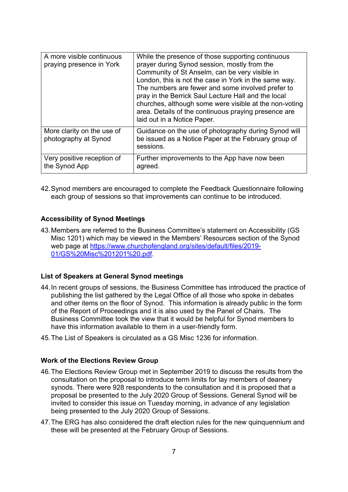| A more visible continuous<br>praying presence in York | While the presence of those supporting continuous<br>prayer during Synod session, mostly from the<br>Community of St Anselm, can be very visible in<br>London, this is not the case in York in the same way.<br>The numbers are fewer and some involved prefer to<br>pray in the Berrick Saul Lecture Hall and the local<br>churches, although some were visible at the non-voting<br>area. Details of the continuous praying presence are<br>laid out in a Notice Paper. |
|-------------------------------------------------------|---------------------------------------------------------------------------------------------------------------------------------------------------------------------------------------------------------------------------------------------------------------------------------------------------------------------------------------------------------------------------------------------------------------------------------------------------------------------------|
| More clarity on the use of<br>photography at Synod    | Guidance on the use of photography during Synod will<br>be issued as a Notice Paper at the February group of<br>sessions.                                                                                                                                                                                                                                                                                                                                                 |
| Very positive reception of<br>the Synod App           | Further improvements to the App have now been<br>agreed.                                                                                                                                                                                                                                                                                                                                                                                                                  |

42. Synod members are encouraged to complete the Feedback Questionnaire following each group of sessions so that improvements can continue to be introduced.

#### **Accessibility of Synod Meetings**

43. Members are referred to the Business Committee's statement on Accessibility (GS Misc 1201) which may be viewed in the Members' Resources section of the Synod web page at https://www.churchofengland.org/sites/default/files/2019- 01/GS%20Misc%201201%20.pdf.

#### **List of Speakers at General Synod meetings**

- 44. In recent groups of sessions, the Business Committee has introduced the practice of publishing the list gathered by the Legal Office of all those who spoke in debates and other items on the floor of Synod. This information is already public in the form of the Report of Proceedings and it is also used by the Panel of Chairs. The Business Committee took the view that it would be helpful for Synod members to have this information available to them in a user-friendly form.
- 45. The List of Speakers is circulated as a GS Misc 1236 for information.

#### **Work of the Elections Review Group**

- 46. The Elections Review Group met in September 2019 to discuss the results from the consultation on the proposal to introduce term limits for lay members of deanery synods. There were 928 respondents to the consultation and it is proposed that a proposal be presented to the July 2020 Group of Sessions. General Synod will be invited to consider this issue on Tuesday morning, in advance of any legislation being presented to the July 2020 Group of Sessions.
- 47. The ERG has also considered the draft election rules for the new quinquennium and these will be presented at the February Group of Sessions.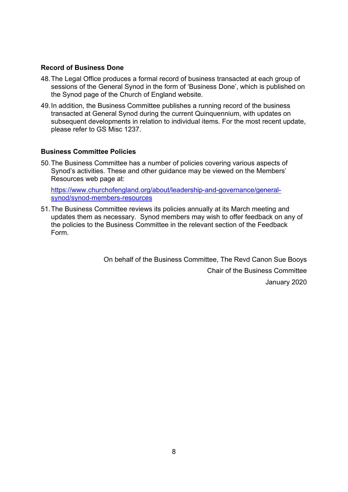### **Record of Business Done**

- 48. The Legal Office produces a formal record of business transacted at each group of sessions of the General Synod in the form of 'Business Done', which is published on the Synod page of the Church of England website.
- 49. In addition, the Business Committee publishes a running record of the business transacted at General Synod during the current Quinquennium, with updates on subsequent developments in relation to individual items. For the most recent update, please refer to GS Misc 1237.

### **Business Committee Policies**

50. The Business Committee has a number of policies covering various aspects of Synod's activities. These and other guidance may be viewed on the Members' Resources web page at:

https://www.churchofengland.org/about/leadership-and-governance/generalsynod/synod-members-resources

51. The Business Committee reviews its policies annually at its March meeting and updates them as necessary. Synod members may wish to offer feedback on any of the policies to the Business Committee in the relevant section of the Feedback Form.

> On behalf of the Business Committee, The Revd Canon Sue Booys Chair of the Business Committee January 2020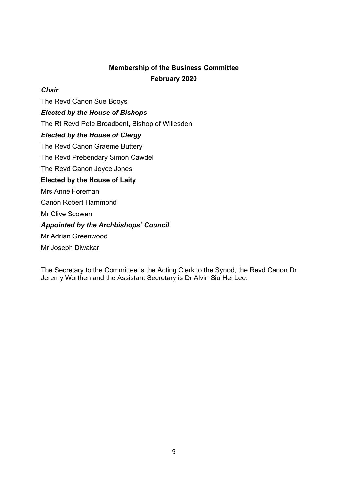# **Membership of the Business Committee February 2020**

### *Chair*

The Revd Canon Sue Booys

*Elected by the House of Bishops* 

The Rt Revd Pete Broadbent, Bishop of Willesden

## *Elected by the House of Clergy*

The Revd Canon Graeme Buttery

The Revd Prebendary Simon Cawdell

The Revd Canon Joyce Jones

## **Elected by the House of Laity**

Mrs Anne Foreman

Canon Robert Hammond

Mr Clive Scowen

## *Appointed by the Archbishops' Council*

Mr Adrian Greenwood

Mr Joseph Diwakar

The Secretary to the Committee is the Acting Clerk to the Synod, the Revd Canon Dr Jeremy Worthen and the Assistant Secretary is Dr Alvin Siu Hei Lee.